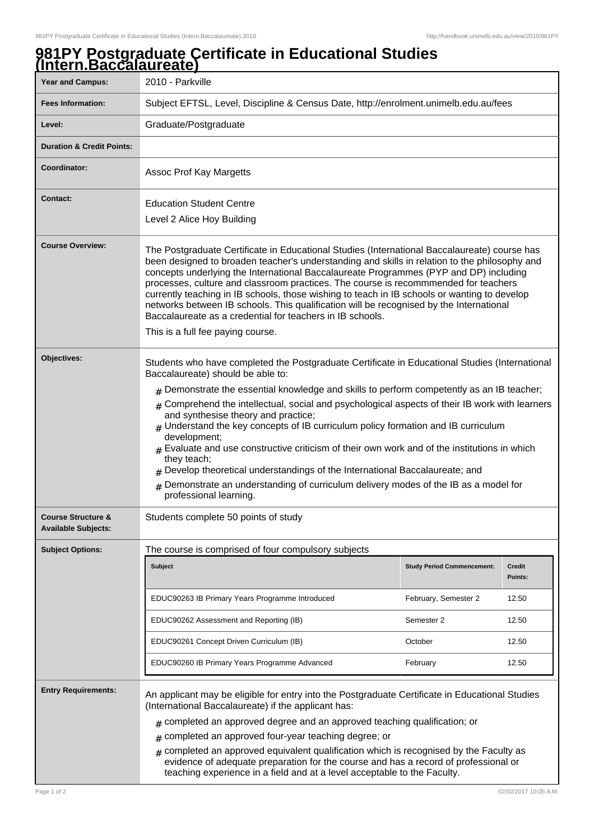## **981PY Postgraduate Certificate in Educational Studies (Intern.Baccalaureate)**

| <b>Year and Campus:</b>                                     | 2010 - Parkville                                                                                                                                                                                                                                                                                                                                                                                                                                                                                                                                                                                                                                                                                                                                                                                           |                                   |                          |  |
|-------------------------------------------------------------|------------------------------------------------------------------------------------------------------------------------------------------------------------------------------------------------------------------------------------------------------------------------------------------------------------------------------------------------------------------------------------------------------------------------------------------------------------------------------------------------------------------------------------------------------------------------------------------------------------------------------------------------------------------------------------------------------------------------------------------------------------------------------------------------------------|-----------------------------------|--------------------------|--|
| <b>Fees Information:</b>                                    | Subject EFTSL, Level, Discipline & Census Date, http://enrolment.unimelb.edu.au/fees                                                                                                                                                                                                                                                                                                                                                                                                                                                                                                                                                                                                                                                                                                                       |                                   |                          |  |
| Level:                                                      | Graduate/Postgraduate                                                                                                                                                                                                                                                                                                                                                                                                                                                                                                                                                                                                                                                                                                                                                                                      |                                   |                          |  |
| <b>Duration &amp; Credit Points:</b>                        |                                                                                                                                                                                                                                                                                                                                                                                                                                                                                                                                                                                                                                                                                                                                                                                                            |                                   |                          |  |
| Coordinator:                                                | Assoc Prof Kay Margetts                                                                                                                                                                                                                                                                                                                                                                                                                                                                                                                                                                                                                                                                                                                                                                                    |                                   |                          |  |
| <b>Contact:</b>                                             | <b>Education Student Centre</b><br>Level 2 Alice Hoy Building                                                                                                                                                                                                                                                                                                                                                                                                                                                                                                                                                                                                                                                                                                                                              |                                   |                          |  |
| <b>Course Overview:</b>                                     | The Postgraduate Certificate in Educational Studies (International Baccalaureate) course has<br>been designed to broaden teacher's understanding and skills in relation to the philosophy and<br>concepts underlying the International Baccalaureate Programmes (PYP and DP) including<br>processes, culture and classroom practices. The course is recommmended for teachers<br>currently teaching in IB schools, those wishing to teach in IB schools or wanting to develop<br>networks between IB schools. This qualification will be recognised by the International<br>Baccalaureate as a credential for teachers in IB schools.<br>This is a full fee paying course.                                                                                                                                 |                                   |                          |  |
| Objectives:                                                 | Students who have completed the Postgraduate Certificate in Educational Studies (International<br>Baccalaureate) should be able to:<br>$#$ Demonstrate the essential knowledge and skills to perform competently as an IB teacher;<br># Comprehend the intellectual, social and psychological aspects of their IB work with learners<br>and synthesise theory and practice;<br>Understand the key concepts of IB curriculum policy formation and IB curriculum<br>development;<br>$_{\#}$ Evaluate and use constructive criticism of their own work and of the institutions in which<br>they teach;<br>$#$ Develop theoretical understandings of the International Baccalaureate; and<br>Demonstrate an understanding of curriculum delivery modes of the IB as a model for<br>#<br>professional learning. |                                   |                          |  |
| <b>Course Structure &amp;</b><br><b>Available Subjects:</b> | Students complete 50 points of study                                                                                                                                                                                                                                                                                                                                                                                                                                                                                                                                                                                                                                                                                                                                                                       |                                   |                          |  |
| <b>Subject Options:</b>                                     | The course is comprised of four compulsory subjects                                                                                                                                                                                                                                                                                                                                                                                                                                                                                                                                                                                                                                                                                                                                                        |                                   |                          |  |
|                                                             | <b>Subject</b>                                                                                                                                                                                                                                                                                                                                                                                                                                                                                                                                                                                                                                                                                                                                                                                             | <b>Study Period Commencement:</b> | <b>Credit</b><br>Points: |  |
|                                                             | EDUC90263 IB Primary Years Programme Introduced                                                                                                                                                                                                                                                                                                                                                                                                                                                                                                                                                                                                                                                                                                                                                            | February, Semester 2              | 12.50                    |  |
|                                                             | EDUC90262 Assessment and Reporting (IB)                                                                                                                                                                                                                                                                                                                                                                                                                                                                                                                                                                                                                                                                                                                                                                    | Semester 2                        | 12.50                    |  |
|                                                             | EDUC90261 Concept Driven Curriculum (IB)                                                                                                                                                                                                                                                                                                                                                                                                                                                                                                                                                                                                                                                                                                                                                                   | October                           | 12.50                    |  |
|                                                             | EDUC90260 IB Primary Years Programme Advanced                                                                                                                                                                                                                                                                                                                                                                                                                                                                                                                                                                                                                                                                                                                                                              | February                          | 12.50                    |  |
| <b>Entry Requirements:</b>                                  | An applicant may be eligible for entry into the Postgraduate Certificate in Educational Studies<br>(International Baccalaureate) if the applicant has:<br>$*$ completed an approved degree and an approved teaching qualification; or<br>completed an approved four-year teaching degree; or<br>#<br>completed an approved equivalent qualification which is recognised by the Faculty as<br>$\pm$<br>evidence of adequate preparation for the course and has a record of professional or                                                                                                                                                                                                                                                                                                                  |                                   |                          |  |